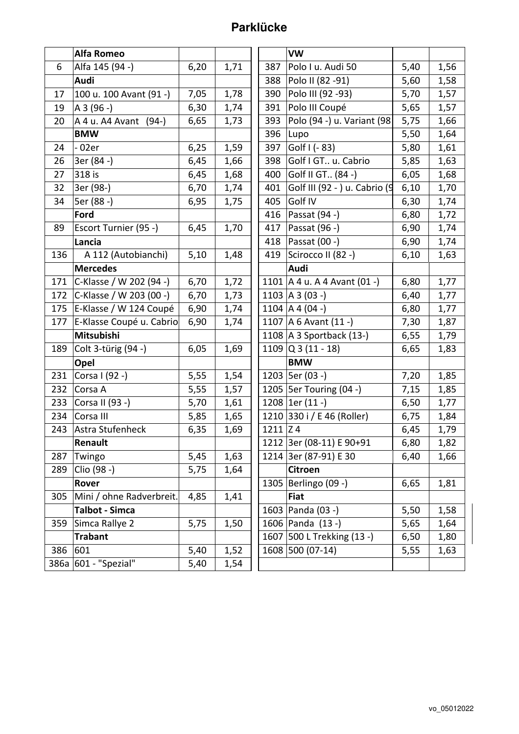## **Parklücke**

|     | <b>Alfa Romeo</b>        |      |      |            | <b>VW</b>                      |      |      |
|-----|--------------------------|------|------|------------|--------------------------------|------|------|
| 6   | Alfa 145 (94 -)          | 6,20 | 1,71 | 387        | Polo I u. Audi 50              | 5,40 | 1,56 |
|     | <b>Audi</b>              |      |      | 388        | Polo II (82 - 91)              | 5,60 | 1,58 |
| 17  | 100 u. 100 Avant (91 -)  | 7,05 | 1,78 | 390        | Polo III (92 - 93)             | 5,70 | 1,57 |
| 19  | A 3 (96 -)               | 6,30 | 1,74 | 391        | Polo III Coupé                 | 5,65 | 1,57 |
| 20  | A 4 u. A 4 Avant (94-)   | 6,65 | 1,73 | 393        | Polo (94 -) u. Variant (98)    | 5,75 | 1,66 |
|     | <b>BMW</b>               |      |      | 396        | Lupo                           | 5,50 | 1,64 |
| 24  | $-02er$                  | 6,25 | 1,59 | 397        | Golf $1(-83)$                  | 5,80 | 1,61 |
| 26  | 3er (84 -)               | 6,45 | 1,66 | 398        | Golf I GT u. Cabrio            | 5,85 | 1,63 |
| 27  | 318 is                   | 6,45 | 1,68 | 400        | Golf II GT (84 -)              | 6,05 | 1,68 |
| 32  | 3er (98-)                | 6,70 | 1,74 | 401        | Golf III (92 - ) u. Cabrio (9  | 6,10 | 1,70 |
| 34  | 5er (88 -)               | 6,95 | 1,75 | 405        | Golf IV                        | 6,30 | 1,74 |
|     | Ford                     |      |      | 416        | Passat (94 -)                  | 6,80 | 1,72 |
| 89  | Escort Turnier (95 -)    | 6,45 | 1,70 | 417        | Passat (96 -)                  | 6,90 | 1,74 |
|     | Lancia                   |      |      | 418        | Passat (00 -)                  | 6,90 | 1,74 |
| 136 | A 112 (Autobianchi)      | 5,10 | 1,48 | 419        | Scirocco II (82 -)             | 6,10 | 1,63 |
|     | <b>Mercedes</b>          |      |      |            | Audi                           |      |      |
| 171 | C-Klasse / W 202 (94 -)  | 6,70 | 1,72 |            | 1101   A 4 u. A 4 Avant (01 -) | 6,80 | 1,77 |
| 172 | C-Klasse / W 203 (00 -)  | 6,70 | 1,73 |            | $1103$ $A3$ (03 -)             | 6,40 | 1,77 |
| 175 | E-Klasse / W 124 Coupé   | 6,90 | 1,74 |            | 1104 A 4 (04 -)                | 6,80 | 1,77 |
| 177 | E-Klasse Coupé u. Cabrio | 6,90 | 1,74 |            | 1107   A 6 Avant (11 -)        | 7,30 | 1,87 |
|     | Mitsubishi               |      |      |            | 1108   A 3 Sportback (13-)     | 6,55 | 1,79 |
| 189 | Colt 3-türig (94 -)      | 6,05 | 1,69 |            | $1109$ Q 3 (11 - 18)           | 6,65 | 1,83 |
|     | Opel                     |      |      |            | <b>BMW</b>                     |      |      |
| 231 | Corsa I (92 -)           | 5,55 | 1,54 |            | 1203   5er (03 -)              | 7,20 | 1,85 |
| 232 | Corsa A                  | 5,55 | 1,57 |            | 1205   5er Touring (04 -)      | 7,15 | 1,85 |
| 233 | Corsa II (93 -)          | 5,70 | 1,61 |            | 1208 $ 1er(11 -)$              | 6,50 | 1,77 |
| 234 | Corsa III                | 5,85 | 1,65 |            | 1210 330 i / E 46 (Roller)     | 6,75 | 1,84 |
| 243 | Astra Stufenheck         | 6,35 | 1,69 | $1211$ Z 4 |                                | 6,45 | 1,79 |
|     | Renault                  |      |      |            | 1212 3er (08-11) E 90+91       | 6,80 | 1,82 |
| 287 | Twingo                   | 5,45 | 1,63 |            | 1214 3er (87-91) E 30          | 6,40 | 1,66 |
| 289 | Clio (98 -)              | 5,75 | 1,64 |            | Citroen                        |      |      |
|     | Rover                    |      |      |            | 1305 Berlingo (09 -)           | 6,65 | 1,81 |
| 305 | Mini / ohne Radverbreit. | 4,85 | 1,41 |            | <b>Fiat</b>                    |      |      |
|     | <b>Talbot - Simca</b>    |      |      |            | 1603 Panda (03 -)              | 5,50 | 1,58 |
| 359 | Simca Rallye 2           | 5,75 | 1,50 |            | 1606 Panda (13 -)              | 5,65 | 1,64 |
|     | <b>Trabant</b>           |      |      |            | 1607 500 L Trekking (13 -)     | 6,50 | 1,80 |
| 386 | 601                      | 5,40 | 1,52 |            | 1608 500 (07-14)               | 5,55 | 1,63 |
|     | 386a 601 - "Spezial"     | 5,40 | 1,54 |            |                                |      |      |